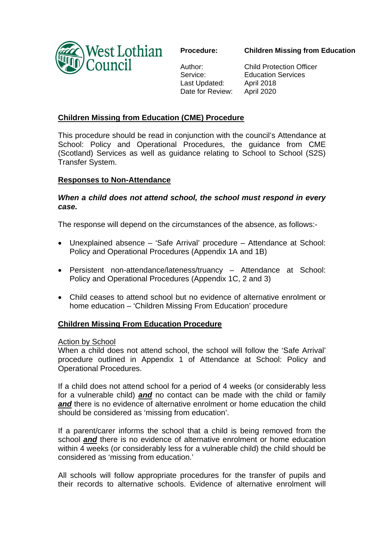

**Children Missing from Education** 

Author: Service: Last Updated: Date for Review:

Child Protection Officer Education Services April 2018 April 2020

# **Children Missing from Education (CME) Procedure**

This procedure should be read in conjunction with the council's Attendance at School: Policy and Operational Procedures, the guidance from CME (Scotland) Services as well as guidance relating to School to School (S2S) Transfer System.

## **Responses to Non-Attendance**

## *When a child does not attend school, the school must respond in every case.*

The response will depend on the circumstances of the absence, as follows:-

- Unexplained absence 'Safe Arrival' procedure Attendance at School: Policy and Operational Procedures (Appendix 1A and 1B)
- Persistent non-attendance/lateness/truancy Attendance at School: Policy and Operational Procedures (Appendix 1C, 2 and 3)
- Child ceases to attend school but no evidence of alternative enrolment or home education – 'Children Missing From Education' procedure

## **Children Missing From Education Procedure**

### Action by School

When a child does not attend school, the school will follow the 'Safe Arrival' procedure outlined in Appendix 1 of Attendance at School: Policy and Operational Procedures.

If a child does not attend school for a period of 4 weeks (or considerably less for a vulnerable child) *and* no contact can be made with the child or family *and* there is no evidence of alternative enrolment or home education the child should be considered as 'missing from education'.

If a parent/carer informs the school that a child is being removed from the school *and* there is no evidence of alternative enrolment or home education within 4 weeks (or considerably less for a vulnerable child) the child should be considered as 'missing from education.'

All schools will follow appropriate procedures for the transfer of pupils and their records to alternative schools. Evidence of alternative enrolment will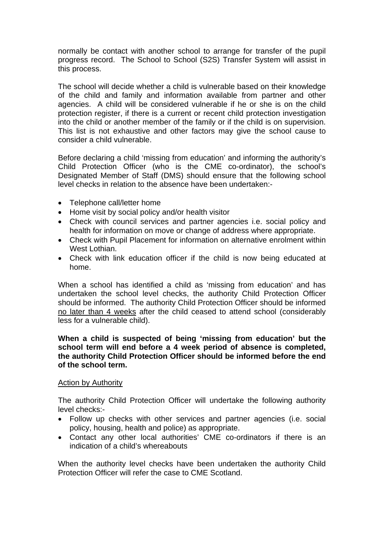normally be contact with another school to arrange for transfer of the pupil progress record. The School to School (S2S) Transfer System will assist in this process.

The school will decide whether a child is vulnerable based on their knowledge of the child and family and information available from partner and other agencies. A child will be considered vulnerable if he or she is on the child protection register, if there is a current or recent child protection investigation into the child or another member of the family or if the child is on supervision. This list is not exhaustive and other factors may give the school cause to consider a child vulnerable.

Before declaring a child 'missing from education' and informing the authority's Child Protection Officer (who is the CME co-ordinator), the school's Designated Member of Staff (DMS) should ensure that the following school level checks in relation to the absence have been undertaken:-

- Telephone call/letter home
- Home visit by social policy and/or health visitor
- Check with council services and partner agencies i.e. social policy and health for information on move or change of address where appropriate.
- Check with Pupil Placement for information on alternative enrolment within West Lothian.
- Check with link education officer if the child is now being educated at home.

When a school has identified a child as 'missing from education' and has undertaken the school level checks, the authority Child Protection Officer should be informed. The authority Child Protection Officer should be informed no later than 4 weeks after the child ceased to attend school (considerably less for a vulnerable child).

## **When a child is suspected of being 'missing from education' but the school term will end before a 4 week period of absence is completed, the authority Child Protection Officer should be informed before the end of the school term.**

## Action by Authority

The authority Child Protection Officer will undertake the following authority level checks:-

- Follow up checks with other services and partner agencies (i.e. social policy, housing, health and police) as appropriate.
- Contact any other local authorities' CME co-ordinators if there is an indication of a child's whereabouts

When the authority level checks have been undertaken the authority Child Protection Officer will refer the case to CME Scotland.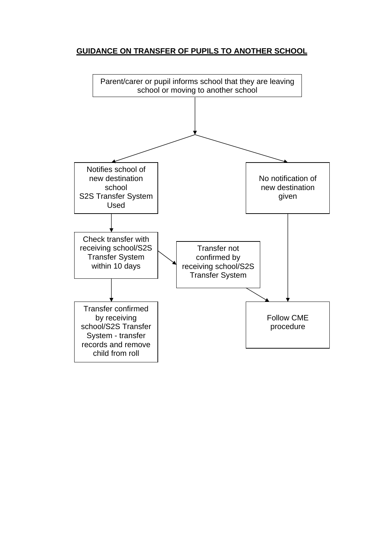# **GUIDANCE ON TRANSFER OF PUPILS TO ANOTHER SCHOOL**